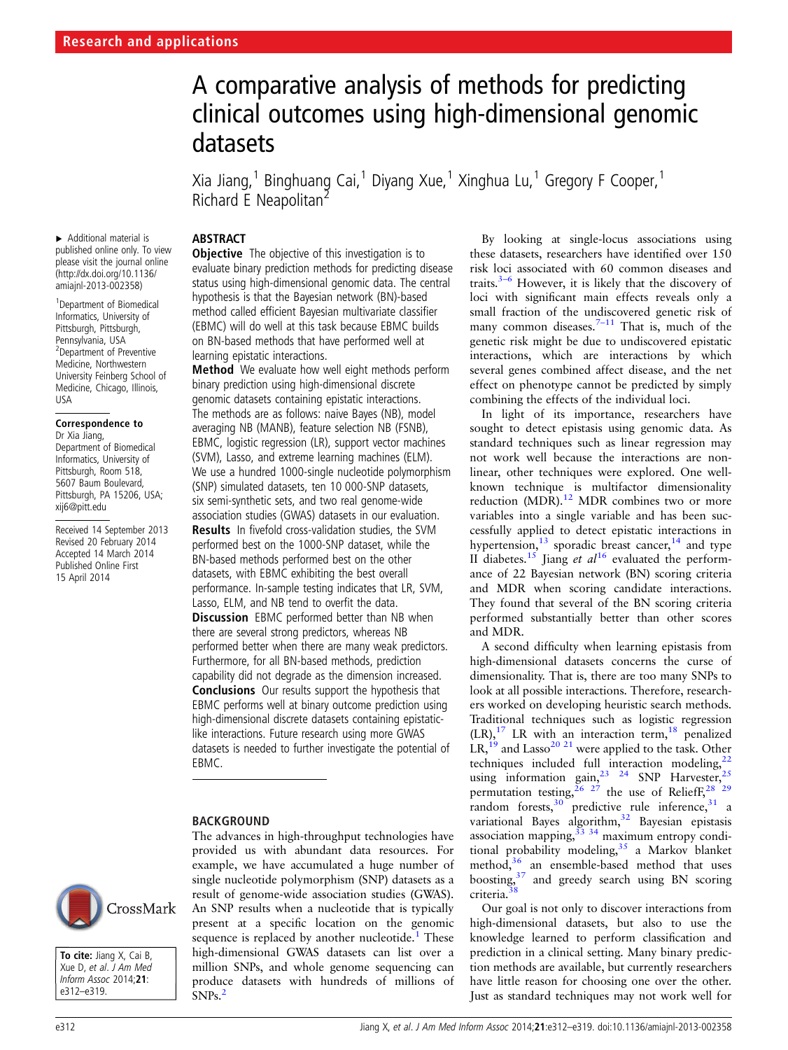# A comparative analysis of methods for predicting clinical outcomes using high-dimensional genomic datasets

Xia Jiang,<sup>1</sup> Binghuang Cai,<sup>1</sup> Diyang Xue,<sup>1</sup> Xinghua Lu,<sup>1</sup> Gregory F Cooper,<sup>1</sup> Richard E Neapolitan<sup>2</sup>

## **ABSTRACT**

▸ Additional material is published online only. To view please visit the journal online [\(http://dx.doi.org/10.1136/](http://dx.doi.org/10.1136/amiajnl-2013-002358) [amiajnl-2013-002358\)](http://dx.doi.org/10.1136/amiajnl-2013-002358)

1 Department of Biomedical Informatics, University of Pittsburgh, Pittsburgh, Pennsylvania, USA 2 Department of Preventive Medicine, Northwestern University Feinberg School of Medicine, Chicago, Illinois, USA

# Correspondence to

Dr Xia Jiang, Department of Biomedical Informatics, University of Pittsburgh, Room 518, 5607 Baum Boulevard, Pittsburgh, PA 15206, USA; xij6@pitt.edu

Received 14 September 2013 Revised 20 February 2014 Accepted 14 March 2014 Published Online First 15 April 2014

## **Objective** The objective of this investigation is to evaluate binary prediction methods for predicting disease status using high-dimensional genomic data. The central hypothesis is that the Bayesian network (BN)-based method called efficient Bayesian multivariate classifier (EBMC) will do well at this task because EBMC builds on BN-based methods that have performed well at

learning epistatic interactions. Method We evaluate how well eight methods perform binary prediction using high-dimensional discrete genomic datasets containing epistatic interactions. The methods are as follows: naive Bayes (NB), model averaging NB (MANB), feature selection NB (FSNB), EBMC, logistic regression (LR), support vector machines (SVM), Lasso, and extreme learning machines (ELM). We use a hundred 1000-single nucleotide polymorphism (SNP) simulated datasets, ten 10 000-SNP datasets, six semi-synthetic sets, and two real genome-wide association studies (GWAS) datasets in our evaluation.

Results In fivefold cross-validation studies, the SVM performed best on the 1000-SNP dataset, while the BN-based methods performed best on the other datasets, with EBMC exhibiting the best overall performance. In-sample testing indicates that LR, SVM, Lasso, ELM, and NB tend to overfit the data. **Discussion** EBMC performed better than NB when there are several strong predictors, whereas NB performed better when there are many weak predictors. Furthermore, for all BN-based methods, prediction capability did not degrade as the dimension increased. Conclusions Our results support the hypothesis that EBMC performs well at binary outcome prediction using high-dimensional discrete datasets containing epistaticlike interactions. Future research using more GWAS datasets is needed to further investigate the potential of EBMC.

The advances in high-throughput technologies have provided us with abundant data resources. For

## BACKGROUND

example, we have accumulated a huge number of single nucleotide polymorphism (SNP) datasets as a result of genome-wide association studies (GWAS). An SNP results when a nucleotide that is typically present at a specific location on the genomic sequence is replaced by another nucleotide. $<sup>1</sup>$  $<sup>1</sup>$  $<sup>1</sup>$  These</sup> high-dimensional GWAS datasets can list over a million SNPs, and whole genome sequencing can produce datasets with hundreds of millions of

SNPs.[2](#page-6-0)

By looking at single-locus associations using these datasets, researchers have identified over 150 risk loci associated with 60 common diseases and traits. $3-6$  $3-6$  However, it is likely that the discovery of loci with significant main effects reveals only a small fraction of the undiscovered genetic risk of many common diseases.<sup>7-[11](#page-6-0)</sup> That is, much of the genetic risk might be due to undiscovered epistatic interactions, which are interactions by which several genes combined affect disease, and the net effect on phenotype cannot be predicted by simply combining the effects of the individual loci.

In light of its importance, researchers have sought to detect epistasis using genomic data. As standard techniques such as linear regression may not work well because the interactions are nonlinear, other techniques were explored. One wellknown technique is multifactor dimensionality reduction  $(MDR)$ .<sup>[12](#page-6-0)</sup> MDR combines two or more variables into a single variable and has been successfully applied to detect epistatic interactions in hypertension, $^{13}$  $^{13}$  $^{13}$  sporadic breast cancer, $^{14}$  $^{14}$  $^{14}$  and type II diabetes.<sup>[15](#page-6-0)</sup> Jiang et  $al^{16}$  $al^{16}$  $al^{16}$  evaluated the performance of 22 Bayesian network (BN) scoring criteria and MDR when scoring candidate interactions. They found that several of the BN scoring criteria performed substantially better than other scores and MDR.

A second difficulty when learning epistasis from high-dimensional datasets concerns the curse of dimensionality. That is, there are too many SNPs to look at all possible interactions. Therefore, researchers worked on developing heuristic search methods. Traditional techniques such as logistic regression  $(LR),$ <sup>[17](#page-6-0)</sup> LR with an interaction term,<sup>18</sup> penalized  $LR$ ,<sup>[19](#page-6-0)</sup> and Lasso<sup>20 21</sup> were applied to the task. Other techniques included full interaction modeling, $22$ using information gain,  $23 \times 24$  SNP Harvester,  $25$ permutation testing,  $26 \frac{27}{2}$  the use of Relieff,  $28 \frac{29}{2}$ random forests,  $30$  predictive rule inference,  $31$  a variational Bayes algorithm,<sup>[32](#page-6-0)</sup> Bayesian epistasis association mapping,[33 34](#page-6-0) maximum entropy conditional probability modeling,  $35$  a Markov blanket method, $36$  an ensemble-based method that uses boosting,<sup>[37](#page-6-0)</sup> and greedy search using BN scoring criteria.[38](#page-6-0)

Our goal is not only to discover interactions from high-dimensional datasets, but also to use the knowledge learned to perform classification and prediction in a clinical setting. Many binary prediction methods are available, but currently researchers have little reason for choosing one over the other. Just as standard techniques may not work well for



To cite: Jiang X, Cai B, Xue D, et al. J Am Med Inform Assoc 2014;21: e312–e319.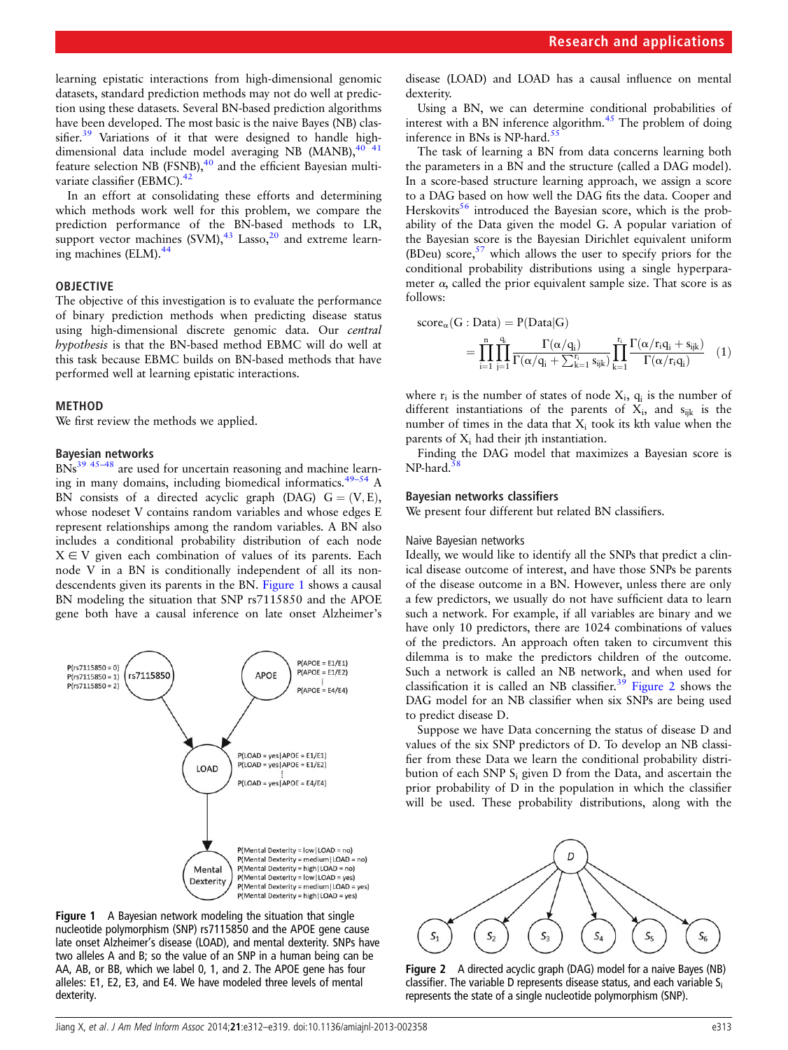<span id="page-1-0"></span>learning epistatic interactions from high-dimensional genomic datasets, standard prediction methods may not do well at prediction using these datasets. Several BN-based prediction algorithms have been developed. The most basic is the naive Bayes (NB) clas-sifier.<sup>[39](#page-6-0)</sup> Variations of it that were designed to handle highdimensional data include model averaging NB (MANB), $40$ feature selection NB (FSNB),<sup>[40](#page-6-0)</sup> and the efficient Bayesian multivariate classifier (EBMC).<sup>42</sup>

In an effort at consolidating these efforts and determining which methods work well for this problem, we compare the prediction performance of the BN-based methods to LR, support vector machines  $(SVM)$ ,<sup>[43](#page-6-0)</sup> Lasso,<sup>[20](#page-6-0)</sup> and extreme learning machines (ELM).[44](#page-6-0)

## OBJECTIVE

The objective of this investigation is to evaluate the performance of binary prediction methods when predicting disease status using high-dimensional discrete genomic data. Our central hypothesis is that the BN-based method EBMC will do well at this task because EBMC builds on BN-based methods that have performed well at learning epistatic interactions.

#### METHOD

We first review the methods we applied.

## Bayesian networks

 $BNs<sup>39</sup>$ <sup>45–48</sup> are used for uncertain reasoning and machine learning in many domains, including biomedical informatics. $49-54$  $49-54$  A BN consists of a directed acyclic graph (DAG)  $G = (V, E)$ , whose nodeset V contains random variables and whose edges E represent relationships among the random variables. A BN also includes a conditional probability distribution of each node  $X \in V$  given each combination of values of its parents. Each node V in a BN is conditionally independent of all its nondescendents given its parents in the BN. Figure 1 shows a causal BN modeling the situation that SNP rs7115850 and the APOE gene both have a causal inference on late onset Alzheimer's



Figure 1 A Bayesian network modeling the situation that single nucleotide polymorphism (SNP) rs7115850 and the APOE gene cause late onset Alzheimer's disease (LOAD), and mental dexterity. SNPs have two alleles A and B; so the value of an SNP in a human being can be AA, AB, or BB, which we label 0, 1, and 2. The APOE gene has four alleles: E1, E2, E3, and E4. We have modeled three levels of mental dexterity.

disease (LOAD) and LOAD has a causal influence on mental dexterity.

Using a BN, we can determine conditional probabilities of interest with a BN inference algorithm.<sup>45</sup> The problem of doing inference in BNs is NP-hard.<sup>55</sup>

The task of learning a BN from data concerns learning both the parameters in a BN and the structure (called a DAG model). In a score-based structure learning approach, we assign a score to a DAG based on how well the DAG fits the data. Cooper and Herskovits<sup>56</sup> introduced the Bayesian score, which is the probability of the Data given the model G. A popular variation of the Bayesian score is the Bayesian Dirichlet equivalent uniform (BDeu) score,  $57$  which allows the user to specify priors for the conditional probability distributions using a single hyperparameter  $\alpha$ , called the prior equivalent sample size. That score is as follows:

$$
score_{\alpha}(G : Data) = P(Data|G)
$$
  
= 
$$
\prod_{i=1}^{n} \prod_{j=1}^{q_i} \frac{\Gamma(\alpha/q_i)}{\Gamma(\alpha/q_i + \sum_{k=1}^{r_i} s_{ijk})} \prod_{k=1}^{r_i} \frac{\Gamma(\alpha/r_iq_i + s_{ijk})}{\Gamma(\alpha/r_iq_i)}
$$
(1)

where  $r_i$  is the number of states of node  $X_i$ ,  $q_i$  is the number of different instantiations of the parents of  $X_i$ , and  $s_{ijk}$  is the number of times in the data that  $X_i$  took its kth value when the parents of  $X_i$  had their jth instantiation.

Finding the DAG model that maximizes a Bayesian score is NP-hard.

#### Bayesian networks classifiers

We present four different but related BN classifiers.

#### Naive Bayesian networks

Ideally, we would like to identify all the SNPs that predict a clinical disease outcome of interest, and have those SNPs be parents of the disease outcome in a BN. However, unless there are only a few predictors, we usually do not have sufficient data to learn such a network. For example, if all variables are binary and we have only 10 predictors, there are 1024 combinations of values of the predictors. An approach often taken to circumvent this dilemma is to make the predictors children of the outcome. Such a network is called an NB network, and when used for classification it is called an NB classifier.<sup>[39](#page-6-0)</sup> Figure 2 shows the DAG model for an NB classifier when six SNPs are being used to predict disease D.

Suppose we have Data concerning the status of disease D and values of the six SNP predictors of D. To develop an NB classifier from these Data we learn the conditional probability distribution of each SNP Si given D from the Data, and ascertain the prior probability of D in the population in which the classifier will be used. These probability distributions, along with the



Figure 2 A directed acyclic graph (DAG) model for a naive Bayes (NB) classifier. The variable D represents disease status, and each variable  $S_i$ represents the state of a single nucleotide polymorphism (SNP).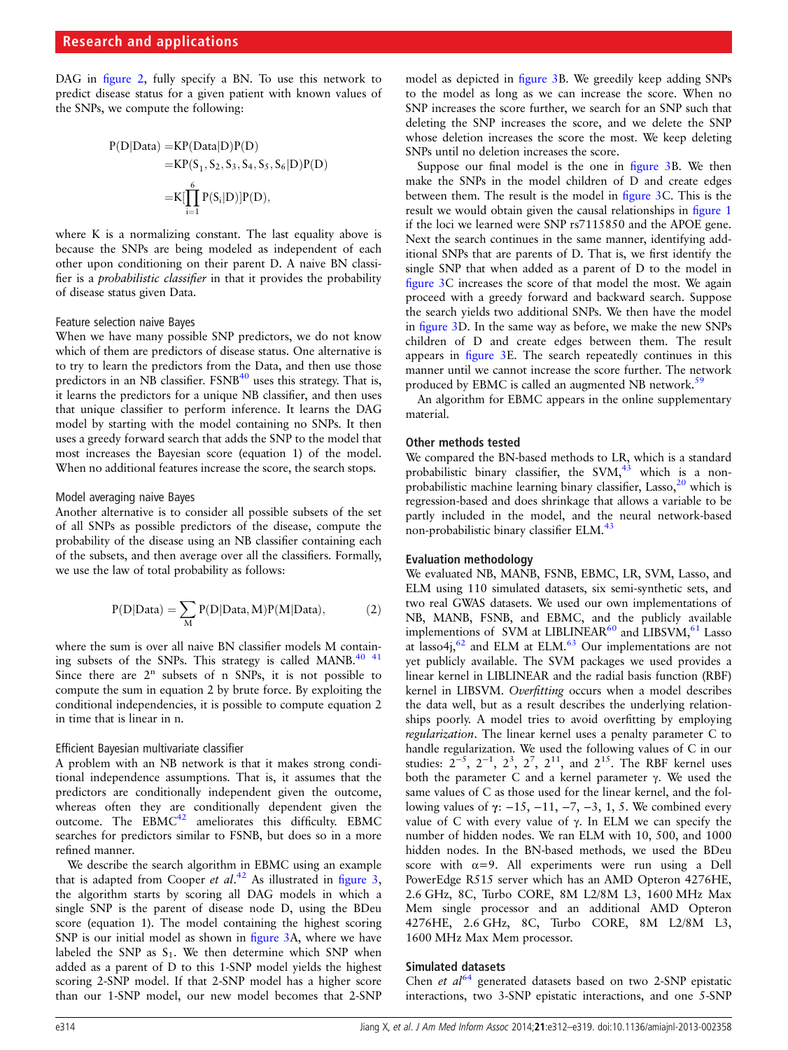DAG in fi[gure 2,](#page-1-0) fully specify a BN. To use this network to predict disease status for a given patient with known values of the SNPs, we compute the following:

$$
P(D|Data) = KP(Data|D)P(D)
$$
  
= 
$$
KP(S_1, S_2, S_3, S_4, S_5, S_6|D)P(D)
$$
  
= 
$$
K[\prod_{i=1}^{6} P(S_i|D)]P(D),
$$

where K is a normalizing constant. The last equality above is because the SNPs are being modeled as independent of each other upon conditioning on their parent D. A naive BN classifier is a probabilistic classifier in that it provides the probability of disease status given Data.

## Feature selection naive Bayes

When we have many possible SNP predictors, we do not know which of them are predictors of disease status. One alternative is to try to learn the predictors from the Data, and then use those predictors in an NB classifier. FSNB<sup>40</sup> uses this strategy. That is, it learns the predictors for a unique NB classifier, and then uses that unique classifier to perform inference. It learns the DAG model by starting with the model containing no SNPs. It then uses a greedy forward search that adds the SNP to the model that most increases the Bayesian score (equation 1) of the model. When no additional features increase the score, the search stops.

## Model averaging naive Bayes

Another alternative is to consider all possible subsets of the set of all SNPs as possible predictors of the disease, compute the probability of the disease using an NB classifier containing each of the subsets, and then average over all the classifiers. Formally, we use the law of total probability as follows:

$$
P(D|Data) = \sum_{M} P(D|Data, M)P(M|Data), \qquad \qquad (2)
$$

where the sum is over all naive BN classifier models M contain-ing subsets of the SNPs. This strategy is called MANB.<sup>[40 41](#page-6-0)</sup> Since there are  $2<sup>n</sup>$  subsets of n SNPs, it is not possible to compute the sum in equation 2 by brute force. By exploiting the conditional independencies, it is possible to compute equation 2 in time that is linear in n.

#### Efficient Bayesian multivariate classifier

A problem with an NB network is that it makes strong conditional independence assumptions. That is, it assumes that the predictors are conditionally independent given the outcome, whereas often they are conditionally dependent given the outcome. The  $EBMC<sup>42</sup>$  $EBMC<sup>42</sup>$  $EBMC<sup>42</sup>$  ameliorates this difficulty. EBMC searches for predictors similar to FSNB, but does so in a more refined manner.

We describe the search algorithm in EBMC using an example that is adapted from Cooper et  $al$ .<sup>[42](#page-6-0)</sup> As illustrated in fi[gure 3](#page-3-0), the algorithm starts by scoring all DAG models in which a single SNP is the parent of disease node D, using the BDeu score (equation 1). The model containing the highest scoring SNP is our initial model as shown in fi[gure 3](#page-3-0)A, where we have labeled the SNP as  $S_1$ . We then determine which SNP when added as a parent of D to this 1-SNP model yields the highest scoring 2-SNP model. If that 2-SNP model has a higher score than our 1-SNP model, our new model becomes that 2-SNP

model as depicted in fi[gure 3](#page-3-0)B. We greedily keep adding SNPs to the model as long as we can increase the score. When no SNP increases the score further, we search for an SNP such that deleting the SNP increases the score, and we delete the SNP whose deletion increases the score the most. We keep deleting SNPs until no deletion increases the score.

Suppose our final model is the one in fi[gure 3B](#page-3-0). We then make the SNPs in the model children of D and create edges between them. The result is the model in fi[gure 3](#page-3-0)C. This is the result we would obtain given the causal relationships in fi[gure 1](#page-1-0) if the loci we learned were SNP rs7115850 and the APOE gene. Next the search continues in the same manner, identifying additional SNPs that are parents of D. That is, we first identify the single SNP that when added as a parent of D to the model in fi[gure 3C](#page-3-0) increases the score of that model the most. We again proceed with a greedy forward and backward search. Suppose the search yields two additional SNPs. We then have the model in fi[gure 3](#page-3-0)D. In the same way as before, we make the new SNPs children of D and create edges between them. The result appears in fi[gure 3](#page-3-0)E. The search repeatedly continues in this manner until we cannot increase the score further. The network produced by EBMC is called an augmented NB network.<sup>[59](#page-6-0)</sup>

An algorithm for EBMC appears in the online supplementary material.

## Other methods tested

We compared the BN-based methods to LR, which is a standard probabilistic binary classifier, the  $SVM<sub>1</sub><sup>43</sup>$  which is a nonprobabilistic machine learning binary classifier, Lasso, $20$  which is regression-based and does shrinkage that allows a variable to be partly included in the model, and the neural network-based non-probabilistic binary classifier ELM.<sup>[43](#page-6-0)</sup>

## Evaluation methodology

We evaluated NB, MANB, FSNB, EBMC, LR, SVM, Lasso, and ELM using 110 simulated datasets, six semi-synthetic sets, and two real GWAS datasets. We used our own implementations of NB, MANB, FSNB, and EBMC, and the publicly available implementions of SVM at LIBLINEAR<sup>[60](#page-6-0)</sup> and LIBSVM,<sup>[61](#page-6-0)</sup> Lasso at lasso $4j<sub>1</sub>$ <sup>[62](#page-6-0)</sup> and ELM at ELM.<sup>[63](#page-6-0)</sup> Our implementations are not yet publicly available. The SVM packages we used provides a linear kernel in LIBLINEAR and the radial basis function (RBF) kernel in LIBSVM. Overfitting occurs when a model describes the data well, but as a result describes the underlying relationships poorly. A model tries to avoid overfitting by employing regularization. The linear kernel uses a penalty parameter C to handle regularization. We used the following values of C in our studies:  $2^{-5}$ ,  $2^{-1}$ ,  $2^3$ ,  $2^7$ ,  $2^{11}$ , and  $2^{15}$ . The RBF kernel uses both the parameter C and a kernel parameter γ. We used the same values of C as those used for the linear kernel, and the following values of γ: −15, −11, −7, −3, 1, 5. We combined every value of C with every value of γ. In ELM we can specify the number of hidden nodes. We ran ELM with 10, 500, and 1000 hidden nodes. In the BN-based methods, we used the BDeu score with  $\alpha=9$ . All experiments were run using a Dell PowerEdge R515 server which has an AMD Opteron 4276HE, 2.6 GHz, 8C, Turbo CORE, 8M L2/8M L3, 1600 MHz Max Mem single processor and an additional AMD Opteron 4276HE, 2.6 GHz, 8C, Turbo CORE, 8M L2/8M L3, 1600 MHz Max Mem processor.

## Simulated datasets

Chen et  $al^{64}$  $al^{64}$  $al^{64}$  generated datasets based on two 2-SNP epistatic interactions, two 3-SNP epistatic interactions, and one 5-SNP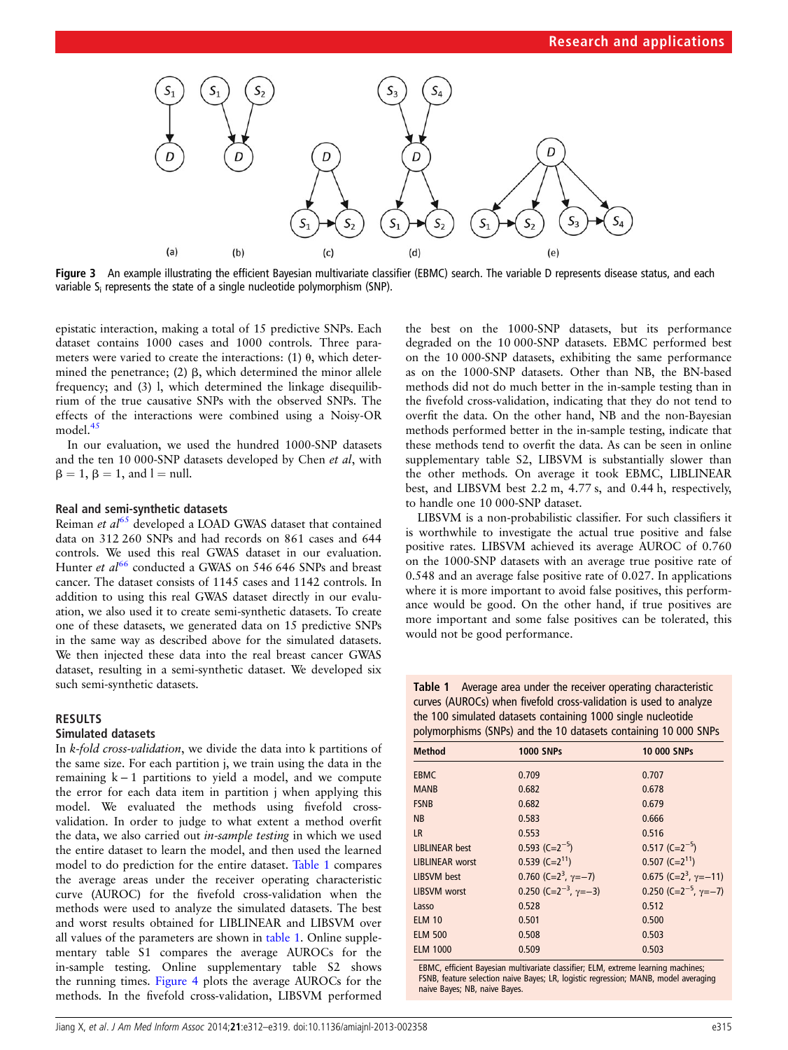<span id="page-3-0"></span>

Figure 3 An example illustrating the efficient Bayesian multivariate classifier (EBMC) search. The variable D represents disease status, and each variable S<sub>i</sub> represents the state of a single nucleotide polymorphism (SNP).

epistatic interaction, making a total of 15 predictive SNPs. Each dataset contains 1000 cases and 1000 controls. Three parameters were varied to create the interactions: (1)  $\theta$ , which determined the penetrance;  $(2)$   $\beta$ , which determined the minor allele frequency; and (3) l, which determined the linkage disequilibrium of the true causative SNPs with the observed SNPs. The effects of the interactions were combined using a Noisy-OR model. $45$ 

In our evaluation, we used the hundred 1000-SNP datasets and the ten 10 000-SNP datasets developed by Chen et al, with  $\beta = 1$ ,  $\beta = 1$ , and  $l = \text{null}$ .

## Real and semi-synthetic datasets

Reiman et  $al^{65}$  $al^{65}$  $al^{65}$  developed a LOAD GWAS dataset that contained data on 312 260 SNPs and had records on 861 cases and 644 controls. We used this real GWAS dataset in our evaluation. Hunter et al<sup>[66](#page-7-0)</sup> conducted a GWAS on 546 646 SNPs and breast cancer. The dataset consists of 1145 cases and 1142 controls. In addition to using this real GWAS dataset directly in our evaluation, we also used it to create semi-synthetic datasets. To create one of these datasets, we generated data on 15 predictive SNPs in the same way as described above for the simulated datasets. We then injected these data into the real breast cancer GWAS dataset, resulting in a semi-synthetic dataset. We developed six such semi-synthetic datasets.

## RESULTS

## Simulated datasets

In k-fold cross-validation, we divide the data into k partitions of the same size. For each partition j, we train using the data in the remaining k − 1 partitions to yield a model, and we compute the error for each data item in partition j when applying this model. We evaluated the methods using fivefold crossvalidation. In order to judge to what extent a method overfit the data, we also carried out in-sample testing in which we used the entire dataset to learn the model, and then used the learned model to do prediction for the entire dataset. Table 1 compares the average areas under the receiver operating characteristic curve (AUROC) for the fivefold cross-validation when the methods were used to analyze the simulated datasets. The best and worst results obtained for LIBLINEAR and LIBSVM over all values of the parameters are shown in table 1. Online supplementary table S1 compares the average AUROCs for the in-sample testing. Online supplementary table S2 shows the running times. [Figure 4](#page-4-0) plots the average AUROCs for the methods. In the fivefold cross-validation, LIBSVM performed

the best on the 1000-SNP datasets, but its performance degraded on the 10 000-SNP datasets. EBMC performed best on the 10 000-SNP datasets, exhibiting the same performance as on the 1000-SNP datasets. Other than NB, the BN-based methods did not do much better in the in-sample testing than in the fivefold cross-validation, indicating that they do not tend to overfit the data. On the other hand, NB and the non-Bayesian methods performed better in the in-sample testing, indicate that these methods tend to overfit the data. As can be seen in online [supplementary table](http://jamia.bmj.com/lookup/suppl/doi:10.1136/amiajnl-2013-002358/-/DC1) S2, LIBSVM is substantially slower than the other methods. On average it took EBMC, LIBLINEAR best, and LIBSVM best 2.2 m, 4.77 s, and 0.44 h, respectively, to handle one 10 000-SNP dataset.

LIBSVM is a non-probabilistic classifier. For such classifiers it is worthwhile to investigate the actual true positive and false positive rates. LIBSVM achieved its average AUROC of 0.760 on the 1000-SNP datasets with an average true positive rate of 0.548 and an average false positive rate of 0.027. In applications where it is more important to avoid false positives, this performance would be good. On the other hand, if true positives are more important and some false positives can be tolerated, this would not be good performance.

Table 1 Average area under the receiver operating characteristic curves (AUROCs) when fivefold cross-validation is used to analyze the 100 simulated datasets containing 1000 single nucleotide polymorphisms (SNPs) and the 10 datasets containing 10 000 SNPs

| <b>Method</b>          | <b>1000 SNPs</b>                           | <b>10 000 SNPs</b>                         |
|------------------------|--------------------------------------------|--------------------------------------------|
| <b>EBMC</b>            | 0.709                                      | 0.707                                      |
| <b>MANB</b>            | 0.682                                      | 0.678                                      |
| <b>FSNB</b>            | 0.682                                      | 0.679                                      |
| <b>NB</b>              | 0.583                                      | 0.666                                      |
| <b>LR</b>              | 0.553                                      | 0.516                                      |
| <b>LIBLINEAR</b> best  | $0.593$ (C=2 <sup>-5</sup> )               | $0.517$ (C=2 <sup>-5</sup> )               |
| <b>LIBLINEAR</b> worst | $0.539$ (C=2 <sup>11</sup> )               | $0.507$ (C=2 <sup>11</sup> )               |
| LIBSVM best            | 0.760 (C= $2^3$ , $\gamma = -7$ )          | $0.675$ (C=2 <sup>3</sup> , $\gamma$ =-11) |
| <b>LIBSVM</b> worst    | 0.250 (C=2 <sup>-3</sup> , $\gamma = -3$ ) | 0.250 (C=2 <sup>-5</sup> , $\gamma$ =-7)   |
| Lasso                  | 0.528                                      | 0.512                                      |
| <b>ELM 10</b>          | 0.501                                      | 0.500                                      |
| <b>ELM 500</b>         | 0.508                                      | 0.503                                      |
| <b>ELM 1000</b>        | 0.509                                      | 0.503                                      |

EBMC, efficient Bayesian multivariate classifier; ELM, extreme learning machines; FSNB, feature selection naive Bayes; LR, logistic regression; MANB, model averaging naive Bayes; NB, naive Bayes.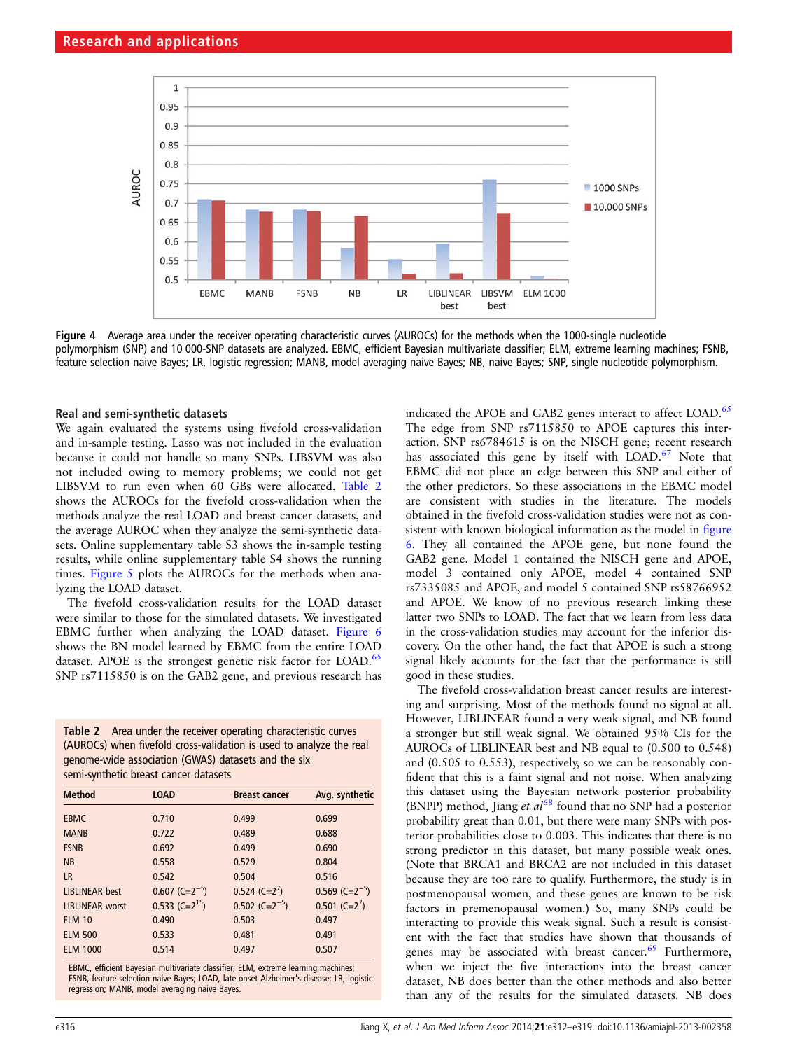<span id="page-4-0"></span>

Figure 4 Average area under the receiver operating characteristic curves (AUROCs) for the methods when the 1000-single nucleotide polymorphism (SNP) and 10 000-SNP datasets are analyzed. EBMC, efficient Bayesian multivariate classifier; ELM, extreme learning machines; FSNB, feature selection naive Bayes; LR, logistic regression; MANB, model averaging naive Bayes; NB, naive Bayes; SNP, single nucleotide polymorphism.

## Real and semi-synthetic datasets

We again evaluated the systems using fivefold cross-validation and in-sample testing. Lasso was not included in the evaluation because it could not handle so many SNPs. LIBSVM was also not included owing to memory problems; we could not get LIBSVM to run even when 60 GBs were allocated. Table 2 shows the AUROCs for the fivefold cross-validation when the methods analyze the real LOAD and breast cancer datasets, and the average AUROC when they analyze the semi-synthetic datasets. Online supplementary table S3 shows the in-sample testing results, while online supplementary table S4 shows the running times. [Figure 5](#page-5-0) plots the AUROCs for the methods when analyzing the LOAD dataset.

The fivefold cross-validation results for the LOAD dataset were similar to those for the simulated datasets. We investigated EBMC further when analyzing the LOAD dataset. [Figure 6](#page-5-0) shows the BN model learned by EBMC from the entire LOAD dataset. APOE is the strongest genetic risk factor for LOAD.<sup>[65](#page-7-0)</sup> SNP rs7115850 is on the GAB2 gene, and previous research has

Table 2 Area under the receiver operating characteristic curves (AUROCs) when fivefold cross-validation is used to analyze the real genome-wide association (GWAS) datasets and the six semi-synthetic breast cancer datasets

| <b>Method</b>          | <b>LOAD</b>                  | <b>Breast cancer</b>         | Avg. synthetic               |
|------------------------|------------------------------|------------------------------|------------------------------|
| <b>EBMC</b>            | 0.710                        | 0.499                        | 0.699                        |
| <b>MANB</b>            | 0.722                        | 0.489                        | 0.688                        |
| <b>FSNB</b>            | 0.692                        | 0.499                        | 0.690                        |
| <b>NB</b>              | 0.558                        | 0.529                        | 0.804                        |
| <b>LR</b>              | 0.542                        | 0.504                        | 0.516                        |
| <b>LIBLINEAR</b> best  | $0.607$ (C=2 <sup>-5</sup> ) | $0.524$ (C=2 <sup>7</sup> )  | $0.569$ (C=2 <sup>-5</sup> ) |
| <b>LIBLINEAR</b> worst | $0.533$ (C=2 <sup>15</sup> ) | $0.502$ (C=2 <sup>-5</sup> ) | $0.501$ (C=2 <sup>7</sup> )  |
| <b>ELM 10</b>          | 0.490                        | 0.503                        | 0.497                        |
| <b>ELM 500</b>         | 0.533                        | 0.481                        | 0.491                        |
| <b>ELM 1000</b>        | 0.514                        | 0.497                        | 0.507                        |

EBMC, efficient Bayesian multivariate classifier; ELM, extreme learning machines; FSNB, feature selection naive Bayes; LOAD, late onset Alzheimer's disease; LR, logistic regression; MANB, model averaging naive Bayes.

indicated the APOE and GAB2 genes interact to affect LOAD.<sup>[65](#page-7-0)</sup> The edge from SNP rs7115850 to APOE captures this interaction. SNP rs6784615 is on the NISCH gene; recent research has associated this gene by itself with  $LOAD<sup>67</sup>$  Note that EBMC did not place an edge between this SNP and either of the other predictors. So these associations in the EBMC model are consistent with studies in the literature. The models obtained in the fivefold cross-validation studies were not as consistent with known biological information as the model in fi[gure](#page-5-0) [6.](#page-5-0) They all contained the APOE gene, but none found the GAB2 gene. Model 1 contained the NISCH gene and APOE, model 3 contained only APOE, model 4 contained SNP rs7335085 and APOE, and model 5 contained SNP rs58766952 and APOE. We know of no previous research linking these latter two SNPs to LOAD. The fact that we learn from less data in the cross-validation studies may account for the inferior discovery. On the other hand, the fact that APOE is such a strong signal likely accounts for the fact that the performance is still good in these studies.

The fivefold cross-validation breast cancer results are interesting and surprising. Most of the methods found no signal at all. However, LIBLINEAR found a very weak signal, and NB found a stronger but still weak signal. We obtained 95% CIs for the AUROCs of LIBLINEAR best and NB equal to (0.500 to 0.548) and (0.505 to 0.553), respectively, so we can be reasonably confident that this is a faint signal and not noise. When analyzing this dataset using the Bayesian network posterior probability (BNPP) method, Jiang et  $al^{68}$  $al^{68}$  $al^{68}$  found that no SNP had a posterior probability great than 0.01, but there were many SNPs with posterior probabilities close to 0.003. This indicates that there is no strong predictor in this dataset, but many possible weak ones. (Note that BRCA1 and BRCA2 are not included in this dataset because they are too rare to qualify. Furthermore, the study is in postmenopausal women, and these genes are known to be risk factors in premenopausal women.) So, many SNPs could be interacting to provide this weak signal. Such a result is consistent with the fact that studies have shown that thousands of genes may be associated with breast cancer.<sup>[69](#page-7-0)</sup> Furthermore, when we inject the five interactions into the breast cancer dataset, NB does better than the other methods and also better than any of the results for the simulated datasets. NB does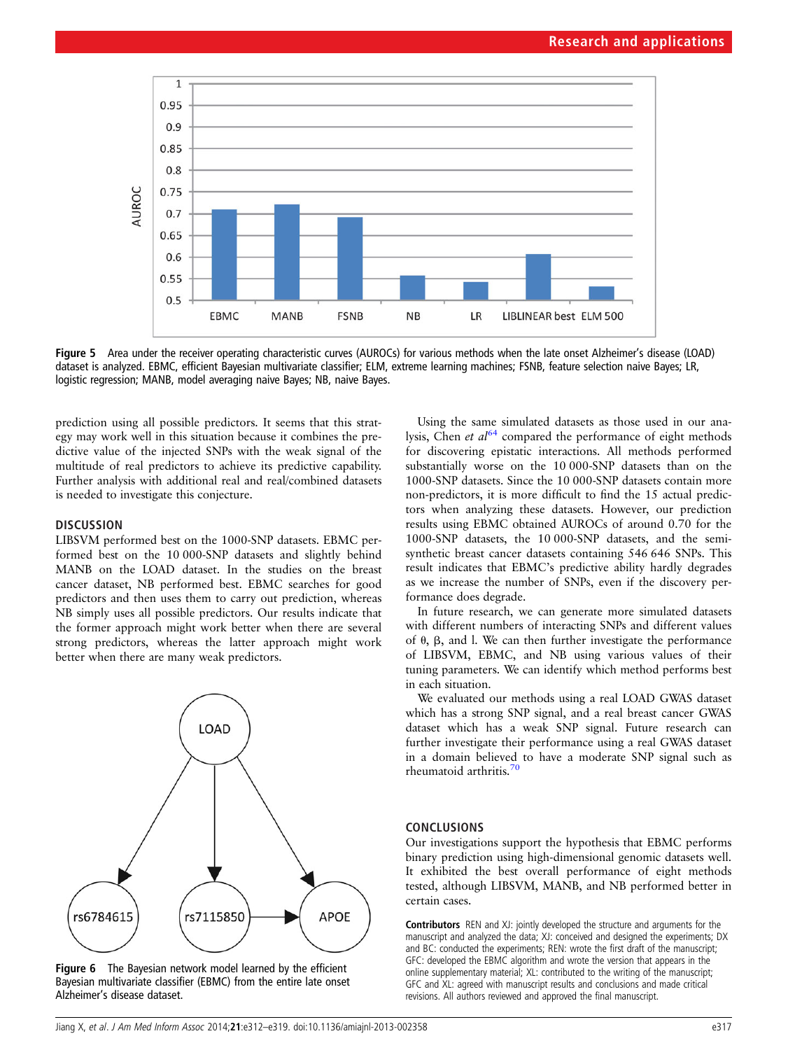<span id="page-5-0"></span>

Figure 5 Area under the receiver operating characteristic curves (AUROCs) for various methods when the late onset Alzheimer's disease (LOAD) dataset is analyzed. EBMC, efficient Bayesian multivariate classifier; ELM, extreme learning machines; FSNB, feature selection naive Bayes; LR, logistic regression; MANB, model averaging naive Bayes; NB, naive Bayes.

prediction using all possible predictors. It seems that this strategy may work well in this situation because it combines the predictive value of the injected SNPs with the weak signal of the multitude of real predictors to achieve its predictive capability. Further analysis with additional real and real/combined datasets is needed to investigate this conjecture.

## **DISCUSSION**

LIBSVM performed best on the 1000-SNP datasets. EBMC performed best on the 10 000-SNP datasets and slightly behind MANB on the LOAD dataset. In the studies on the breast cancer dataset, NB performed best. EBMC searches for good predictors and then uses them to carry out prediction, whereas NB simply uses all possible predictors. Our results indicate that the former approach might work better when there are several strong predictors, whereas the latter approach might work better when there are many weak predictors.



Figure 6 The Bayesian network model learned by the efficient Bayesian multivariate classifier (EBMC) from the entire late onset Alzheimer's disease dataset.

Using the same simulated datasets as those used in our analysis, Chen *et al*<sup>[64](#page-6-0)</sup> compared the performance of eight methods for discovering epistatic interactions. All methods performed substantially worse on the 10 000-SNP datasets than on the 1000-SNP datasets. Since the 10 000-SNP datasets contain more non-predictors, it is more difficult to find the 15 actual predictors when analyzing these datasets. However, our prediction results using EBMC obtained AUROCs of around 0.70 for the 1000-SNP datasets, the 10 000-SNP datasets, and the semisynthetic breast cancer datasets containing 546 646 SNPs. This result indicates that EBMC's predictive ability hardly degrades as we increase the number of SNPs, even if the discovery performance does degrade.

In future research, we can generate more simulated datasets with different numbers of interacting SNPs and different values of  $\theta$ ,  $\beta$ , and l. We can then further investigate the performance of LIBSVM, EBMC, and NB using various values of their tuning parameters. We can identify which method performs best in each situation.

We evaluated our methods using a real LOAD GWAS dataset which has a strong SNP signal, and a real breast cancer GWAS dataset which has a weak SNP signal. Future research can further investigate their performance using a real GWAS dataset in a domain believed to have a moderate SNP signal such as rheumatoid arthritis.<sup>[70](#page-7-0)</sup>

## CONCLUSIONS

Our investigations support the hypothesis that EBMC performs binary prediction using high-dimensional genomic datasets well. It exhibited the best overall performance of eight methods tested, although LIBSVM, MANB, and NB performed better in certain cases.

Contributors REN and XJ: jointly developed the structure and arguments for the manuscript and analyzed the data; XJ: conceived and designed the experiments; DX and BC: conducted the experiments; REN: wrote the first draft of the manuscript; GFC: developed the EBMC algorithm and wrote the version that appears in the online [supplementary material;](http://jamia.bmj.com/lookup/suppl/doi:10.1136/amiajnl-2013-002358/-/DC1) XL: contributed to the writing of the manuscript; GFC and XL: agreed with manuscript results and conclusions and made critical revisions. All authors reviewed and approved the final manuscript.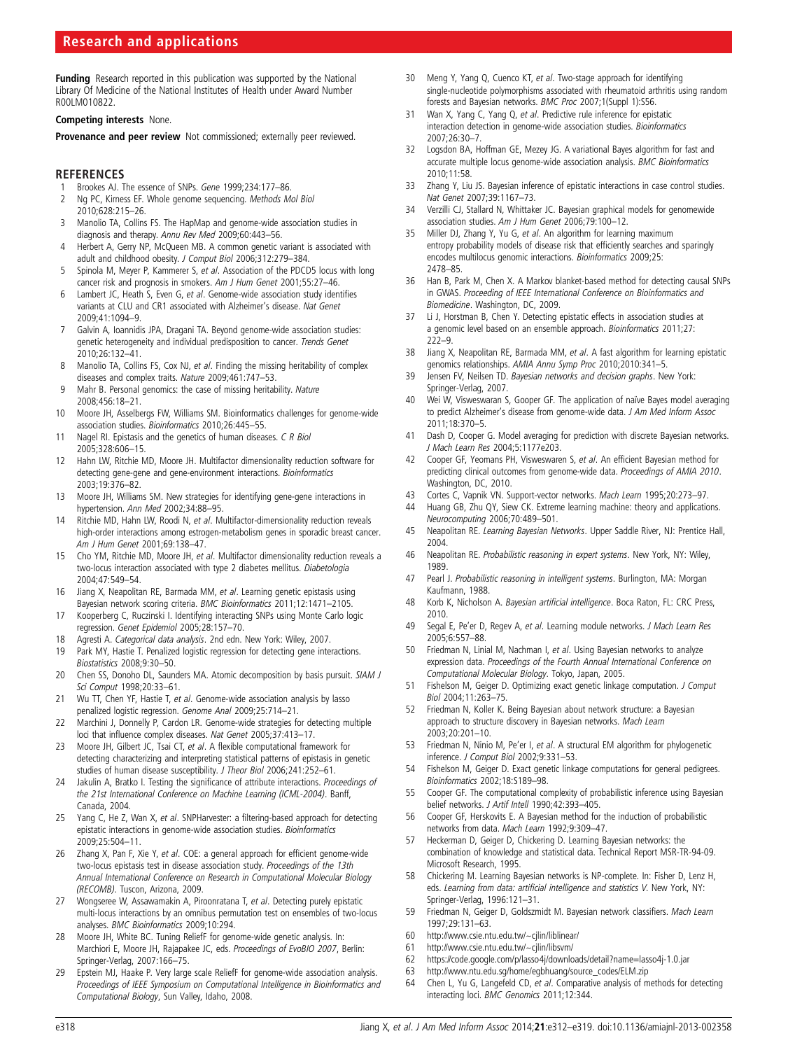<span id="page-6-0"></span>Funding Research reported in this publication was supported by the National Library Of Medicine of the National Institutes of Health under Award Number R00LM010822.

#### Competing interests None.

Provenance and peer review Not commissioned; externally peer reviewed.

## **REFERENCES**

- 1 Brookes AJ. The essence of SNPs. Gene 1999;234:177-86<br>2 Ng PC, Kirness EF. Whole genome seguencing. Methods M
- Ng PC, Kirness EF. Whole genome sequencing. Methods Mol Biol 2010;628:215–26.
- 3 Manolio TA, Collins FS. The HapMap and genome-wide association studies in diagnosis and therapy. Annu Rev Med 2009;60:443–56.
- 4 Herbert A, Gerry NP, McQueen MB. A common genetic variant is associated with adult and childhood obesity. J Comput Biol 2006;312:279-384.
- 5 Spinola M, Meyer P, Kammerer S, et al. Association of the PDCD5 locus with long cancer risk and prognosis in smokers. Am J Hum Genet 2001;55:27–46.
- 6 Lambert JC, Heath S, Even G, et al. Genome-wide association study identifies variants at CLU and CR1 associated with Alzheimer's disease. Nat Genet 2009;41:1094–9.
- 7 Galvin A, Ioannidis JPA, Dragani TA. Beyond genome-wide association studies: genetic heterogeneity and individual predisposition to cancer. Trends Genet 2010;26:132–41.
- 8 Manolio TA, Collins FS, Cox NJ, et al. Finding the missing heritability of complex diseases and complex traits. Nature 2009;461:747–53.
- 9 Mahr B. Personal genomics: the case of missing heritability. Nature 2008;456:18–21.
- 10 Moore JH, Asselbergs FW, Williams SM. Bioinformatics challenges for genome-wide association studies. Bioinformatics 2010;26:445–55.
- 11 Nagel RI. Epistasis and the genetics of human diseases. C R Biol 2005;328:606–15.
- 12 Hahn LW, Ritchie MD, Moore JH. Multifactor dimensionality reduction software for detecting gene-gene and gene-environment interactions. Bioinformatics 2003;19:376–82.
- 13 Moore JH, Williams SM. New strategies for identifying gene-gene interactions in hypertension. Ann Med 2002;34:88–95.
- 14 Ritchie MD, Hahn LW, Roodi N, et al. Multifactor-dimensionality reduction reveals high-order interactions among estrogen-metabolism genes in sporadic breast cancer. Am J Hum Genet 2001;69:138–47.
- 15 Cho YM, Ritchie MD, Moore JH, et al. Multifactor dimensionality reduction reveals a two-locus interaction associated with type 2 diabetes mellitus. Diabetologia 2004;47:549–54.
- 16 Jiang X, Neapolitan RE, Barmada MM, et al. Learning genetic epistasis using Bayesian network scoring criteria. BMC Bioinformatics 2011;12:1471–2105.
- 17 Kooperberg C, Ruczinski I. Identifying interacting SNPs using Monte Carlo logic regression. Genet Epidemiol 2005;28:157–70.
- 18 Agresti A. Categorical data analysis. 2nd edn. New York: Wiley, 2007.
- 19 Park MY, Hastie T. Penalized logistic regression for detecting gene interactions. Biostatistics 2008;9:30–50.
- 20 Chen SS, Donoho DL, Saunders MA. Atomic decomposition by basis pursuit. SIAM J Sci Comput 1998;20:33–61.
- 21 Wu TT, Chen YF, Hastie T, et al. Genome-wide association analysis by lasso penalized logistic regression. Genome Anal 2009;25:714–21.
- 22 Marchini J, Donnelly P, Cardon LR. Genome-wide strategies for detecting multiple loci that influence complex diseases. Nat Genet 2005;37:413–17.
- 23 Moore JH, Gilbert JC, Tsai CT, et al. A flexible computational framework for detecting characterizing and interpreting statistical patterns of epistasis in genetic studies of human disease susceptibility. J Theor Biol 2006;241:252–61.
- 24 Jakulin A, Bratko I. Testing the significance of attribute interactions. Proceedings of the 21st International Conference on Machine Learning (ICML-2004). Banff, Canada, 2004.
- Yang C, He Z, Wan X, et al. SNPHarvester: a filtering-based approach for detecting epistatic interactions in genome-wide association studies. Bioinformatics 2009;25:504–11.
- 26 Zhang X, Pan F, Xie Y, et al. COE: a general approach for efficient genome-wide two-locus epistasis test in disease association study. Proceedings of the 13th Annual International Conference on Research in Computational Molecular Biology (RECOMB). Tuscon, Arizona, 2009.
- 27 Wongseree W, Assawamakin A, Piroonratana T, et al. Detecting purely epistatic multi-locus interactions by an omnibus permutation test on ensembles of two-locus analyses. BMC Bioinformatics 2009;10:294.
- 28 Moore JH, White BC. Tuning ReliefF for genome-wide genetic analysis. In: Marchiori E, Moore JH, Rajapakee JC, eds. Proceedings of EvoBIO 2007, Berlin: Springer-Verlag, 2007:166–75.
- 29 Epstein MJ, Haake P. Very large scale ReliefF for genome-wide association analysis. Proceedings of IEEE Symposium on Computational Intelligence in Bioinformatics and Computational Biology, Sun Valley, Idaho, 2008.
- 30 Meng Y, Yang Q, Cuenco KT, et al. Two-stage approach for identifying single-nucleotide polymorphisms associated with rheumatoid arthritis using random forests and Bayesian networks. BMC Proc 2007;1(Suppl 1):S56.
- 31 Wan X, Yang C, Yang Q, et al. Predictive rule inference for epistatic interaction detection in genome-wide association studies. Bioinformatics 2007;26:30–7.
- 32 Logsdon BA, Hoffman GE, Mezey JG. A variational Bayes algorithm for fast and accurate multiple locus genome-wide association analysis. BMC Bioinformatics 2010;11:58.
- 33 Zhang Y, Liu JS. Bayesian inference of epistatic interactions in case control studies. Nat Genet 2007;39:1167–73.
- 34 Verzilli CJ, Stallard N, Whittaker JC. Bayesian graphical models for genomewide association studies. Am J Hum Genet 2006;79:100–12.
- 35 Miller DJ, Zhang Y, Yu G, et al. An algorithm for learning maximum entropy probability models of disease risk that efficiently searches and sparingly encodes multilocus genomic interactions. Bioinformatics 2009;25: 2478–85.
- 36 Han B, Park M, Chen X. A Markov blanket-based method for detecting causal SNPs in GWAS. Proceeding of IEEE International Conference on Bioinformatics and Biomedicine. Washington, DC, 2009.
- 37 Li J, Horstman B, Chen Y. Detecting epistatic effects in association studies at a genomic level based on an ensemble approach. Bioinformatics 2011;27:  $222-9$
- 38 Jiang X, Neapolitan RE, Barmada MM, et al. A fast algorithm for learning epistatic genomics relationships. AMIA Annu Symp Proc 2010;2010:341–5.
- 39 Jensen FV, Neilsen TD. Bayesian networks and decision graphs. New York: Springer-Verlag, 2007.
- 40 Wei W, Visweswaran S, Gooper GF. The application of naïve Bayes model averaging to predict Alzheimer's disease from genome-wide data. J Am Med Inform Assoc 2011;18:370–5.
- 41 Dash D, Cooper G. Model averaging for prediction with discrete Bayesian networks. J Mach Learn Res 2004;5:1177e203.
- 42 Cooper GF, Yeomans PH, Visweswaren S, et al. An efficient Bayesian method for predicting clinical outcomes from genome-wide data. Proceedings of AMIA 2010. Washington, DC, 2010.
- 43 Cortes C, Vapnik VN. Support-vector networks. Mach Learn 1995;20:273–97.
- 44 Huang GB, Zhu QY, Siew CK. Extreme learning machine: theory and applications. Neurocomputing 2006;70:489–501.
- 45 Neapolitan RE. Learning Bayesian Networks. Upper Saddle River, NJ: Prentice Hall, 2004.
- 46 Neapolitan RE. Probabilistic reasoning in expert systems. New York, NY: Wiley, 1989.
- 47 Pearl J. Probabilistic reasoning in intelligent systems. Burlington, MA: Morgan Kaufmann, 1988.
- 48 Korb K, Nicholson A. Bayesian artificial intelligence. Boca Raton, FL: CRC Press, 2010.
- 49 Segal E, Pe'er D, Regev A, et al. Learning module networks. J Mach Learn Res 2005;6:557–88.
- 50 Friedman N, Linial M, Nachman I, et al. Using Bayesian networks to analyze expression data. Proceedings of the Fourth Annual International Conference on Computational Molecular Biology. Tokyo, Japan, 2005.
- 51 Fishelson M, Geiger D. Optimizing exact genetic linkage computation. J Comput Biol 2004;11:263–75.
- 52 Friedman N, Koller K. Being Bayesian about network structure: a Bayesian approach to structure discovery in Bayesian networks. Mach Learn 2003;20:201–10.
- 53 Friedman N, Ninio M, Pe'er I, et al. A structural EM algorithm for phylogenetic inference. J Comput Biol 2002;9:331–53.
- 54 Fishelson M, Geiger D. Exact genetic linkage computations for general pedigrees. Bioinformatics 2002;18:S189–98.
- 55 Cooper GF. The computational complexity of probabilistic inference using Bayesian belief networks. J Artif Intell 1990;42:393–405.
- 56 Cooper GF, Herskovits E. A Bayesian method for the induction of probabilistic networks from data. Mach Learn 1992;9:309–47.
- 57 Heckerman D, Geiger D, Chickering D. Learning Bayesian networks: the combination of knowledge and statistical data. Technical Report MSR-TR-94-09. Microsoft Research, 1995.
- 58 Chickering M. Learning Bayesian networks is NP-complete. In: Fisher D, Lenz H, eds. Learning from data: artificial intelligence and statistics V. New York, NY: Springer-Verlag, 1996:121–31.
- 59 Friedman N, Geiger D, Goldszmidt M. Bayesian network classifiers. Mach Learn 1997;29:131–63.
- 60<http://www.csie.ntu.edu.tw/~cjlin/liblinear/>
- 61<http://www.csie.ntu.edu.tw/~cjlin/libsvm/>
- 62<https://code.google.com/p/lasso4j/downloads/detail?name=lasso4j-1.0.jar>
- 63 [http://www.ntu.edu.sg/home/egbhuang/source\\_codes/ELM.zip](http://www.ntu.edu.sg/home/egbhuang/source_codes/ELM.zip)
- 64 Chen L, Yu G, Langefeld CD, et al. Comparative analysis of methods for detecting interacting loci. BMC Genomics 2011;12:344.